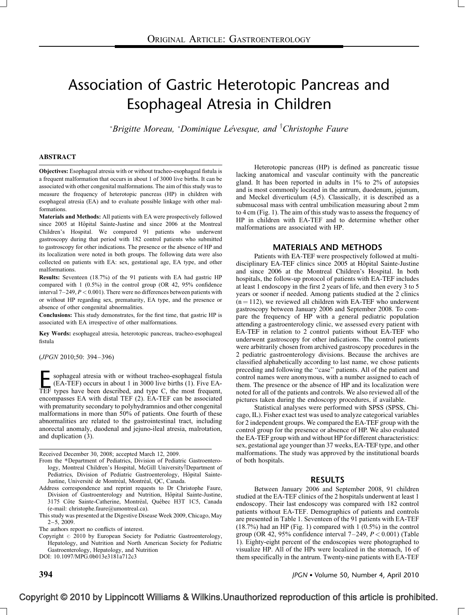# Association of Gastric Heterotopic Pancreas and Esophageal Atresia in Children

 $*$ Brigitte Moreau,  $*$ Dominique Lévesque, and  ${}^{\dagger}$ Christophe Faure

# ABSTRACT

Objectives: Esophageal atresia with or without tracheo-esophageal fistula is a frequent malformation that occurs in about 1 of 3000 live births. It can be associated with other congenital malformations. The aim of this study was to measure the frequency of heterotopic pancreas (HP) in children with esophageal atresia (EA) and to evaluate possible linkage with other malformations.

Materials and Methods: All patients with EA were prospectively followed since 2005 at Hôpital Sainte-Justine and since 2006 at the Montreal Children's Hospital. We compared 91 patients who underwent gastroscopy during that period with 182 control patients who submitted to gastroscopy for other indications. The presence or the absence of HP and its localization were noted in both groups. The following data were also collected on patients with EA: sex, gestational age, EA type, and other malformations.

Results: Seventeen (18.7%) of the 91 patients with EA had gastric HP compared with 1 (0.5%) in the control group (OR 42, 95% confidence interval  $7-249$ ,  $P < 0.001$ ). There were no differences between patients with or without HP regarding sex, prematurity, EA type, and the presence or absence of other congenital abnormalities.

Conclusions: This study demonstrates, for the first time, that gastric HP is associated with EA irrespective of other malformations.

Key Words: esophageal atresia, heterotopic pancreas, tracheo-esophageal fistula

(JPGN 2010;50: 394–396)

**Esophageal atresia with or without tracheo-esophageal fistula** (EA-TEF) occurs in about 1 in 3000 live births (1). Five EA-TEF types have been described, and type C, the most frequent, (EA-TEF) occurs in about 1 in 3000 live births [\(1\).](#page-2-0) Five EAencompasses EA with distal TEF [\(2\).](#page-2-0) EA-TEF can be associated with prematurity secondary to polyhydramnios and other congenital malformations in more than 50% of patients. One fourth of these abnormalities are related to the gastrointestinal tract, including anorectal anomaly, duodenal and jejuno-ileal atresia, malrotation, and duplication [\(3\).](#page-2-0)

Received December 30, 2008; accepted March 12, 2009.

- From the \*Department of Pediatrics, Division of Pediatric Gastroenterology, Montreal Children's Hospital, McGill University<sup>†</sup>Department of Pediatrics, Division of Pediatric Gastroenterology, Hôpital Sainte-Justine, Université de Montréal, Montréal, QC, Canada.
- Address correspondence and reprint requests to Dr Christophe Faure, Division of Gastroenterology and Nutrition, Hôpital Sainte-Justine, 3175 Côte Sainte-Catherine, Montréal, Québec H3T 1C5, Canada (e-mail: [christophe.faure@umontreal.ca\)](mailto:christophe.faure@umontreal.ca).
- This study was presented at the Digestive Disease Week 2009, Chicago, May 2–5, 2009.

Copyright  $@$  2010 by European Society for Pediatric Gastroenterology, Hepatology, and Nutrition and North American Society for Pediatric Gastroenterology, Hepatology, and Nutrition

DOI: [10.1097/MPG.0b013e3181a712c3](http://dx.doi.org/10.1097/MPG.0b013e3181a712c3)

Heterotopic pancreas (HP) is defined as pancreatic tissue lacking anatomical and vascular continuity with the pancreatic gland. It has been reported in adults in 1% to 2% of autopsies and is most commonly located in the antrum, duodenum, jejunum, and Meckel diverticulum [\(4,5\).](#page-2-0) Classically, it is described as a submucosal mass with central umbilication measuring about 2 mm to 4 cm ([Fig.](#page-1-0) 1). The aim of this study was to assess the frequency of HP in children with EA-TEF and to determine whether other malformations are associated with HP.

# MATERIALS AND METHODS

Patients with EA-TEF were prospectively followed at multidisciplinary EA-TEF clinics since 2005 at Hôpital Sainte-Justine and since 2006 at the Montreal Children's Hospital. In both hospitals, the follow-up protocol of patients with EA-TEF includes at least 1 endoscopy in the first 2 years of life, and then every 3 to 5 years or sooner if needed. Among patients studied at the 2 clinics  $(n = 112)$ , we reviewed all children with EA-TEF who underwent gastroscopy between January 2006 and September 2008. To compare the frequency of HP with a general pediatric population attending a gastroenterology clinic, we assessed every patient with EA-TEF in relation to 2 control patients without EA-TEF who underwent gastroscopy for other indications. The control patients were arbitrarily chosen from archived gastroscopy procedures in the 2 pediatric gastroenterology divisions. Because the archives are classified alphabetically according to last name, we chose patients preceding and following the ''case'' patients. All of the patient and control names were anonymous, with a number assigned to each of them. The presence or the absence of HP and its localization were noted for all of the patients and controls. We also reviewed all of the pictures taken during the endoscopy procedures, if available.

Statistical analyses were performed with SPSS (SPSS, Chicago, IL). Fisher exact test was used to analyze categorical variables for 2 independent groups. We compared the EA-TEF group with the control group for the presence or absence of HP. We also evaluated the EA-TEF group with and without HP for different characteristics: sex, gestational age younger than 37 weeks, EA-TEF type, and other malformations. The study was approved by the institutional boards of both hospitals.

# RESULTS

Between January 2006 and September 2008, 91 children studied at the EA-TEF clinics of the 2 hospitals underwent at least 1 endoscopy. Their last endoscopy was compared with 182 control patients without EA-TEF. Demographics of patients and controls are presented in [Table](#page-1-0) 1. Seventeen of the 91 patients with EA-TEF (18.7%) had an HP [\(Fig.](#page-1-0) 1) compared with 1 (0.5%) in the control group (OR 42, 95% confidence interval  $7-249$ ,  $P < 0.001$ ) ([Table](#page-1-0) [1\)](#page-1-0). Eighty-eight percent of the endoscopies were photographed to visualize HP. All of the HPs were localized in the stomach, 16 of them specifically in the antrum. Twenty-nine patients with EA-TEF

The authors report no conflicts of interest.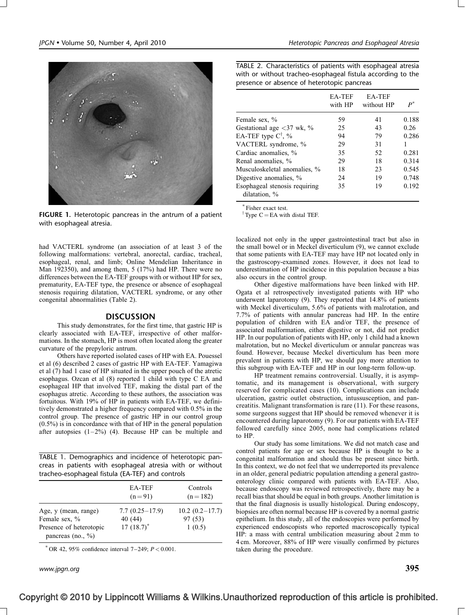<span id="page-1-0"></span>

FIGURE 1. Heterotopic pancreas in the antrum of a patient with esophageal atresia.

had VACTERL syndrome (an association of at least 3 of the following malformations: vertebral, anorectal, cardiac, tracheal, esophageal, renal, and limb; Online Mendelian Inheritance in Man 192350), and among them, 5 (17%) had HP. There were no differences between the EA-TEF groups with or without HP for sex, prematurity, EA-TEF type, the presence or absence of esophageal stenosis requiring dilatation, VACTERL syndrome, or any other congenital abnormalities (Table 2).

# DISCUSSION

This study demonstrates, for the first time, that gastric HP is clearly associated with EA-TEF, irrespective of other malformations. In the stomach, HP is most often located along the greater curvature of the prepyloric antrum.

Others have reported isolated cases of HP with EA. Pouessel et al [\(6\)](#page-2-0) described 2 cases of gastric HP with EA-TEF. Yamagiwa et al [\(7\)](#page-2-0) had 1 case of HP situated in the upper pouch of the atretic esophagus. Ozcan et al [\(8\)](#page-2-0) reported 1 child with type C EA and esophageal HP that involved TEF, making the distal part of the esophagus atretic. According to these authors, the association was fortuitous. With 19% of HP in patients with EA-TEF, we definitively demonstrated a higher frequency compared with 0.5% in the control group. The presence of gastric HP in our control group (0.5%) is in concordance with that of HP in the general population after autopsies  $(1-2\%)$  [\(4\).](#page-2-0) Because HP can be multiple and

TABLE 1. Demographics and incidence of heterotopic pancreas in patients with esophageal atresia with or without tracheo-esophageal fistula (EA-TEF) and controls

|                                                  | <b>EA-TEF</b><br>$(n=91)$ | Controls<br>$(n=182)$ |
|--------------------------------------------------|---------------------------|-----------------------|
| Age, y (mean, range)                             | $7.7(0.25-17.9)$          | $10.2 (0.2 - 17.7)$   |
| Female sex, %                                    | 40 (44)                   | 97 (53)               |
| Presence of heterotopic<br>pancreas (no., $\%$ ) | $17(18.7)^*$              | 1(0.5)                |

OR 42, 95% confidence interval  $7-249$ ;  $P < 0.001$ .

www.jpgn.org  $395$ 

TABLE 2. Characteristics of patients with esophageal atresia with or without tracheo-esophageal fistula according to the presence or absence of heterotopic pancreas

|                                                     | EA-TEF<br>with HP | <b>EA-TEF</b><br>without HP | $\bm{p}^*$ |
|-----------------------------------------------------|-------------------|-----------------------------|------------|
| Female sex, %                                       | 59                | 41                          | 0.188      |
| Gestational age $\langle 37 \text{ wk}, \% \rangle$ | 25                | 43                          | 0.26       |
| EA-TEF type $C^{\dagger}$ , %                       | 94                | 79                          | 0.286      |
| VACTERL syndrome, %                                 | 29                | 31                          |            |
| Cardiac anomalies, %                                | 35                | 52                          | 0.281      |
| Renal anomalies, %                                  | 29                | 18                          | 0.314      |
| Musculoskeletal anomalies, %                        | 18                | 23                          | 0.545      |
| Digestive anomalies, %                              | 24                | 19                          | 0.748      |
| Esophageal stenosis requiring<br>dilatation, %      | 35                | 19                          | 0.192      |

Fisher exact test.

<sup> $\dagger$ </sup> Type C = EA with distal TEF.

localized not only in the upper gastrointestinal tract but also in the small bowel or in Meckel diverticulum [\(9\),](#page-2-0) we cannot exclude that some patients with EA-TEF may have HP not located only in the gastroscopy-examined zones. However, it does not lead to underestimation of HP incidence in this population because a bias also occurs in the control group.

Other digestive malformations have been linked with HP. Ogata et al retrospectively investigated patients with HP who underwent laparotomy [\(9\).](#page-2-0) They reported that 14.8% of patients with Meckel diverticulum, 5.6% of patients with malrotation, and 7.7% of patients with annular pancreas had HP. In the entire population of children with EA and/or TEF, the presence of associated malformation, either digestive or not, did not predict HP. In our population of patients with HP, only 1 child had a known malrotation, but no Meckel diverticulum or annular pancreas was found. However, because Meckel diverticulum has been more prevalent in patients with HP, we should pay more attention to this subgroup with EA-TEF and HP in our long-term follow-up.

HP treatment remains controversial. Usually, it is asymptomatic, and its management is observational, with surgery reserved for complicated cases [\(10\)](#page-2-0). Complications can include ulceration, gastric outlet obstruction, intussusception, and pancreatitis. Malignant transformation is rare [\(11\)](#page-2-0). For these reasons, some surgeons suggest that HP should be removed whenever it is encountered during laparotomy [\(9\).](#page-2-0) For our patients with EA-TEF followed carefully since 2005, none had complications related to HP.

Our study has some limitations. We did not match case and control patients for age or sex because HP is thought to be a congenital malformation and should thus be present since birth. In this context, we do not feel that we underreported its prevalence in an older, general pediatric population attending a general gastroenterology clinic compared with patients with EA-TEF. Also, because endoscopy was reviewed retrospectively, there may be a recall bias that should be equal in both groups. Another limitation is that the final diagnosis is usually histological. During endoscopy, biopsies are often normal because HP is covered by a normal gastric epithelium. In this study, all of the endoscopies were performed by experienced endoscopists who reported macroscopically typical HP: a mass with central umbilication measuring about 2 mm to 4 cm. Moreover, 88% of HP were visually confirmed by pictures taken during the procedure.